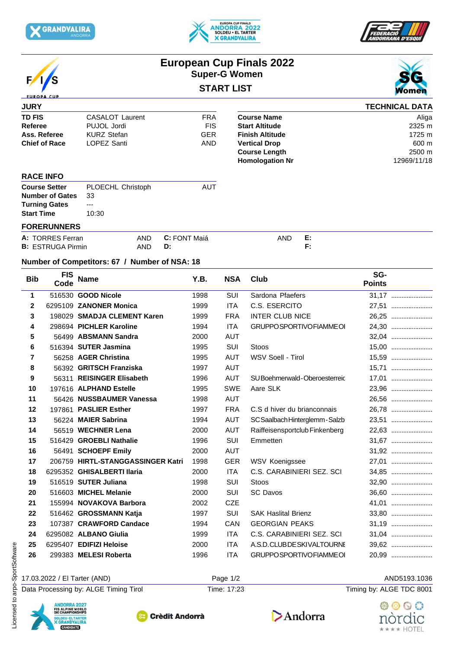







# **European Cup Finals 2022 Super-G Women**





#### **JURY TD FIS CASALOT** Laurent **FRA Referee** PUJOL Jordi FIS **Ass. Referee KURZ Stefan GER Finish Altitude Chief of Race** LOPEZ Santi **AND** Vertical Drop **TECHNICAL DATA Course Name** Aliga **Start Altitude** 2325 m **Finish Altitude** 1725 m **Vertical Drop** 600 m **Course Length 2500 m**<br> **Homologation Nr** 2969/11/18 **Homologation Nr**

### **RACE INFO**

| <b>Course Setter</b>      | PLOECHL Christoph | AUT |
|---------------------------|-------------------|-----|
| <b>Number of Gates</b> 33 |                   |     |
| <b>Turning Gates</b>      | $---$             |     |
| <b>Start Time</b>         | 10:30             |     |
|                           |                   |     |

## **FORERUNNERS**

| A: TORRES Ferran         | <b>AND</b> | <b>C:</b> FONT Maiá | <b>AND</b> | . . |
|--------------------------|------------|---------------------|------------|-----|
| <b>B: ESTRUGA Pirmin</b> | AND        | D:                  |            |     |

#### **Number of Competitors: 67 / Number of NSA: 18**

| <b>Bib</b>   | <b>FIS</b><br>Code                                                                                         | <b>Name</b>                           | Y.B. | <b>NSA</b>  | Club                            | SG-<br><b>Points</b>     |
|--------------|------------------------------------------------------------------------------------------------------------|---------------------------------------|------|-------------|---------------------------------|--------------------------|
| $\mathbf{1}$ |                                                                                                            | 516530 GOOD Nicole                    | 1998 | SUI         | Sardona Pfaefers                | 31,17                    |
| $\mathbf{2}$ |                                                                                                            | 6295109 ZANONER Monica                | 1999 | <b>ITA</b>  | C.S. ESERCITO                   | 27,51                    |
| 3            |                                                                                                            | 198029 SMADJA CLEMENT Karen           | 1999 | <b>FRA</b>  | <b>INTER CLUB NICE</b>          | 26,25                    |
| 4            |                                                                                                            | 298694 PICHLER Karoline               | 1994 | <b>ITA</b>  | <b>GRUPPOSPORTIVOFIAMMEOI</b>   | 24,30                    |
| 5            |                                                                                                            | 56499 ABSMANN Sandra                  | 2000 | <b>AUT</b>  |                                 | 32,04                    |
| 6            |                                                                                                            | 516394 SUTER Jasmina                  | 1995 | SUI         | <b>Stoos</b>                    | 15,00                    |
| 7            |                                                                                                            | 56258 AGER Christina                  | 1995 | <b>AUT</b>  | WSV Soell - Tirol               | 15,59                    |
| 8            |                                                                                                            | 56392 GRITSCH Franziska               | 1997 | AUT         |                                 | 15,71                    |
| 9            | 56311                                                                                                      | <b>REISINGER Elisabeth</b>            | 1996 | <b>AUT</b>  | SU Boehmerwald-Oberoesterreic   | 17,01                    |
| 10           |                                                                                                            | 197616 ALPHAND Estelle                | 1995 | <b>SWE</b>  | Aare SLK                        | 23.96                    |
| 11           |                                                                                                            | 56426 NUSSBAUMER Vanessa              | 1998 | AUT         |                                 | 26,56                    |
| 12           | 197861                                                                                                     | <b>PASLIER Esther</b>                 | 1997 | <b>FRA</b>  | C.S d hiver du brianconnais     | 26,78                    |
| 13           |                                                                                                            | 56224 MAIER Sabrina                   | 1994 | <b>AUT</b>  | SC Saalbach Hinterglemm - Salzb | 23,51                    |
| 14           |                                                                                                            | 56519 WECHNER Lena                    | 2000 | AUT         | Raiffeisensportclub Finkenberg  | 22,63                    |
| 15           |                                                                                                            | 516429 GROEBLI Nathalie               | 1996 | SUI         | Emmetten                        | 31,67                    |
| 16           |                                                                                                            | 56491 SCHOEPF Emily                   | 2000 | <b>AUT</b>  |                                 | 31,92                    |
| 17           |                                                                                                            | 206759 HIRTL-STANGGASSINGER Katri     | 1998 | <b>GER</b>  | WSV Koenigssee                  | 27,01                    |
| 18           |                                                                                                            | 6295352 GHISALBERTI Ilaria            | 2000 | <b>ITA</b>  | C.S. CARABINIERI SEZ. SCI       | 34,85                    |
| 19           |                                                                                                            | 516519 SUTER Juliana                  | 1998 | SUI         | Stoos                           | 32,90                    |
| 20           |                                                                                                            | 516603 MICHEL Melanie                 | 2000 | SUI         | <b>SC Davos</b>                 | 36,60                    |
| 21           |                                                                                                            | 155994 NOVAKOVA Barbora               | 2002 | <b>CZE</b>  |                                 | 41,01                    |
| 22           |                                                                                                            | 516462 GROSSMANN Katja                | 1997 | SUI         | <b>SAK Haslital Brienz</b>      | 33,80                    |
| 23           |                                                                                                            | 107387 CRAWFORD Candace               | 1994 | CAN         | <b>GEORGIAN PEAKS</b>           | 31,19                    |
| 24           |                                                                                                            | 6295082 ALBANO Giulia                 | 1999 | ITA.        | C.S. CARABINIERI SEZ. SCI       | 31,04                    |
| 25           |                                                                                                            | 6295407 EDIFIZI Heloise               | 2000 | <b>ITA</b>  | A.S.D.CLUBDESKIVALTOURNE        | 39,62                    |
| 26           |                                                                                                            | 299383 MELESI Roberta                 | 1996 | <b>ITA</b>  | GRUPPOSPORTIVOFIAMMEOI          | 20,99                    |
|              |                                                                                                            | 17.03.2022 / El Tarter (AND)          |      | Page 1/2    |                                 | AND5193.1036             |
|              |                                                                                                            | Data Processing by: ALGE Timing Tirol |      | Time: 17:23 |                                 | Timing by: ALGE TDC 8001 |
|              | <b>ANDORRA 2027</b><br>FIS ALPINE WORLD<br>SKI CHAMPIONSHIPS<br>SOLDEU · EL TARTER<br><b>X GRANDVALIRA</b> | <b>Crèdit Andorrà</b>                 |      |             | Andorra                         | nórdic                   |